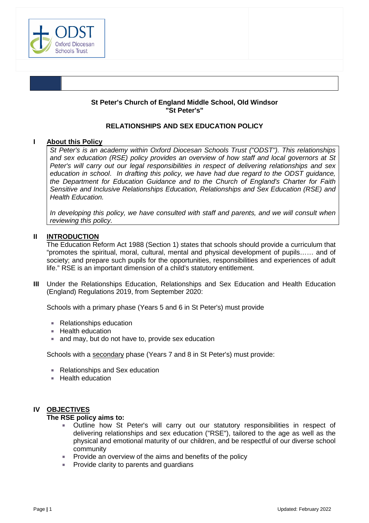

### **St Peter's Church of England Middle School, Old Windsor "St Peter's"**

### **RELATIONSHIPS AND SEX EDUCATION POLICY**

### **I About this Policy**

*St Peter's is an academy within Oxford Diocesan Schools Trust ("ODST"). This relationships and sex education (RSE) policy provides an overview of how staff and local governors at St Peter's will carry out our legal responsibilities in respect of delivering relationships and sex education in school*. *In drafting this policy, we have had due regard to the ODST guidance, the Department for Education Guidance and to the Church of England's Charter for Faith Sensitive and Inclusive Relationships Education, Relationships and Sex Education (RSE) and Health Education.* 

*In developing this policy, we have consulted with staff and parents, and we will consult when reviewing this policy.* 

### **II INTRODUCTION**

The Education Reform Act 1988 (Section 1) states that schools should provide a curriculum that "promotes the spiritual, moral, cultural, mental and physical development of pupils…… and of society; and prepare such pupils for the opportunities, responsibilities and experiences of adult life." RSE is an important dimension of a child's statutory entitlement.

**III** Under the Relationships Education, Relationships and Sex Education and Health Education (England) Regulations 2019, from September 2020:

Schools with a primary phase (Years 5 and 6 in St Peter's) must provide

- Relationships education
- **Health education**
- and may, but do not have to, provide sex education

Schools with a secondary phase (Years 7 and 8 in St Peter's) must provide:

- Relationships and Sex education
- $H$  Health education

### **IV OBJECTIVES**

### **The RSE policy aims to:**

- Outline how St Peter's will carry out our statutory responsibilities in respect of delivering relationships and sex education ("RSE"), tailored to the age as well as the physical and emotional maturity of our children, and be respectful of our diverse school community
- Provide an overview of the aims and benefits of the policy
- Provide clarity to parents and guardians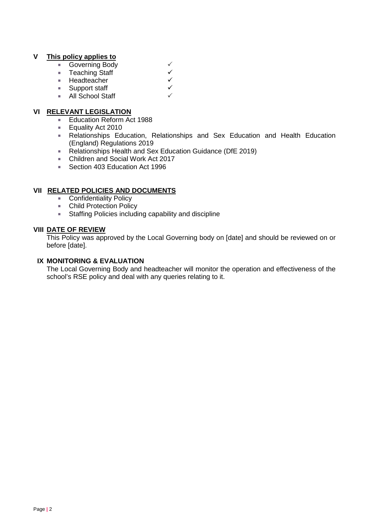# **V This policy applies to**

- 
- Teaching Staff<br>■ Headteacher
- Governing Body<br>■ Teaching Staff<br>■ Headteacher<br>■ Support staff Headteacher
- Support staff
- All School Staff

# **VI RELEVANT LEGISLATION**

- **Education Reform Act 1988**
- **Equality Act 2010**
- Relationships Education, Relationships and Sex Education and Health Education (England) Regulations 2019
- Relationships Health and Sex Education Guidance (DfE 2019)
- Children and Social Work Act 2017
- Section 403 Education Act 1996

### **VII RELATED POLICIES AND DOCUMENTS**

- **Confidentiality Policy**
- Child Protection Policy
- **Staffing Policies including capability and discipline**

### **VIII DATE OF REVIEW**

This Policy was approved by the Local Governing body on [date] and should be reviewed on or before [date].

### **IX MONITORING & EVALUATION**

The Local Governing Body and headteacher will monitor the operation and effectiveness of the school's RSE policy and deal with any queries relating to it.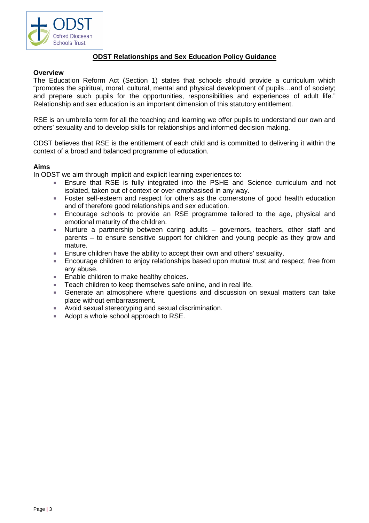

# **ODST Relationships and Sex Education Policy Guidance**

### **Overview**

The Education Reform Act (Section 1) states that schools should provide a curriculum which "promotes the spiritual, moral, cultural, mental and physical development of pupils…and of society; and prepare such pupils for the opportunities, responsibilities and experiences of adult life." Relationship and sex education is an important dimension of this statutory entitlement.

RSE is an umbrella term for all the teaching and learning we offer pupils to understand our own and others' sexuality and to develop skills for relationships and informed decision making.

ODST believes that RSE is the entitlement of each child and is committed to delivering it within the context of a broad and balanced programme of education.

### **Aims**

In ODST we aim through implicit and explicit learning experiences to:<br>Finsure that RSF is fully integrated into the PSHF and

- Ensure that RSE is fully integrated into the PSHE and Science curriculum and not isolated, taken out of context or over-emphasised in any way.
- Foster self-esteem and respect for others as the cornerstone of good health education and of therefore good relationships and sex education.
- Encourage schools to provide an RSE programme tailored to the age, physical and emotional maturity of the children.
- Nurture a partnership between caring adults governors, teachers, other staff and parents – to ensure sensitive support for children and young people as they grow and mature.
- Ensure children have the ability to accept their own and others' sexuality.
- Encourage children to enjoy relationships based upon mutual trust and respect, free from any abuse.
- Enable children to make healthy choices.
- Teach children to keep themselves safe online, and in real life.
- Generate an atmosphere where questions and discussion on sexual matters can take place without embarrassment.
- Avoid sexual stereotyping and sexual discrimination.
- Adopt a whole school approach to RSE.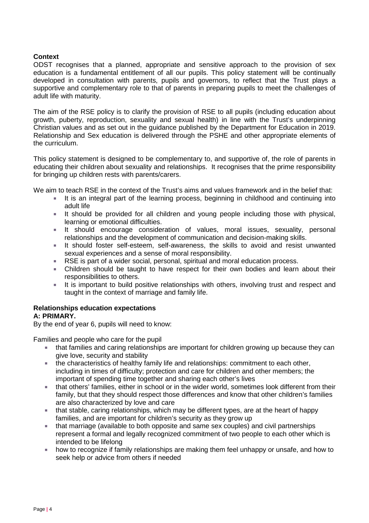# **Context**

ODST recognises that a planned, appropriate and sensitive approach to the provision of sex education is a fundamental entitlement of all our pupils. This policy statement will be continually developed in consultation with parents, pupils and governors, to reflect that the Trust plays a supportive and complementary role to that of parents in preparing pupils to meet the challenges of adult life with maturity.

The aim of the RSE policy is to clarify the provision of RSE to all pupils (including education about growth, puberty, reproduction, sexuality and sexual health) in line with the Trust's underpinning Christian values and as set out in the guidance published by the Department for Education in 2019. Relationship and Sex education is delivered through the PSHE and other appropriate elements of the curriculum.

This policy statement is designed to be complementary to, and supportive of, the role of parents in educating their children about sexuality and relationships. It recognises that the prime responsibility for bringing up children rests with parents/carers.

We aim to teach RSE in the context of the Trust's aims and values framework and in the belief that:

- It is an integral part of the learning process, beginning in childhood and continuing into adult life
- It should be provided for all children and young people including those with physical, learning or emotional difficulties.
- It should encourage consideration of values, moral issues, sexuality, personal relationships and the development of communication and decision-making skills.
- It should foster self-esteem, self-awareness, the skills to avoid and resist unwanted sexual experiences and a sense of moral responsibility.
- RSE is part of a wider social, personal, spiritual and moral education process.
- Children should be taught to have respect for their own bodies and learn about their responsibilities to others.
- It is important to build positive relationships with others, involving trust and respect and taught in the context of marriage and family life.

# **Relationships education expectations**

# **A: PRIMARY.**

By the end of year 6, pupils will need to know:

Families and people who care for the pupil

- that families and caring relationships are important for children growing up because they can give love, security and stability
- the characteristics of healthy family life and relationships: commitment to each other, including in times of difficulty; protection and care for children and other members; the important of spending time together and sharing each other's lives
- that others' families, either in school or in the wider world, sometimes look different from their family, but that they should respect those differences and know that other children's families are also characterized by love and care
- that stable, caring relationships, which may be different types, are at the heart of happy families, and are important for children's security as they grow up
- that marriage (available to both opposite and same sex couples) and civil partnerships represent a formal and legally recognized commitment of two people to each other which is intended to be lifelong
- how to recognize if family relationships are making them feel unhappy or unsafe, and how to seek help or advice from others if needed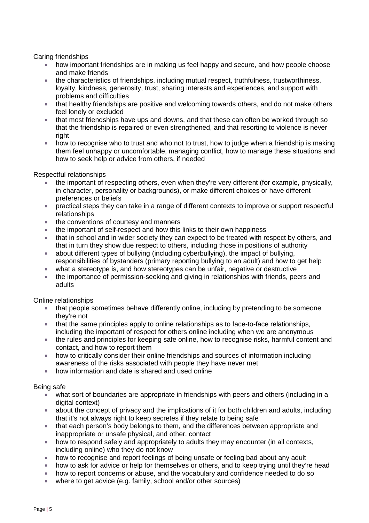Caring friendships

- how important friendships are in making us feel happy and secure, and how people choose and make friends
- the characteristics of friendships, including mutual respect, truthfulness, trustworthiness, loyalty, kindness, generosity, trust, sharing interests and experiences, and support with problems and difficulties
- **that healthy friendships are positive and welcoming towards others, and do not make others** feel lonely or excluded
- that most friendships have ups and downs, and that these can often be worked through so that the friendship is repaired or even strengthened, and that resorting to violence is never right
- how to recognise who to trust and who not to trust, how to judge when a friendship is making them feel unhappy or uncomfortable, managing conflict, how to manage these situations and how to seek help or advice from others, if needed

Respectful relationships

- the important of respecting others, even when they're very different (for example, physically, in character, personality or backgrounds), or make different choices or have different preferences or beliefs
- practical steps they can take in a range of different contexts to improve or support respectful relationships
- the conventions of courtesy and manners
- the important of self-respect and how this links to their own happiness
- that in school and in wider society they can expect to be treated with respect by others, and that in turn they show due respect to others, including those in positions of authority
- about different types of bullying (including cyberbullying), the impact of bullying, responsibilities of bystanders (primary reporting bullying to an adult) and how to get help
- what a stereotype is, and how stereotypes can be unfair, negative or destructive
- the importance of permission-seeking and giving in relationships with friends, peers and adults

Online relationships

- that people sometimes behave differently online, including by pretending to be someone they're not
- that the same principles apply to online relationships as to face-to-face relationships, including the important of respect for others online including when we are anonymous
- the rules and principles for keeping safe online, how to recognise risks, harmful content and contact, and how to report them
- how to critically consider their online friendships and sources of information including awareness of the risks associated with people they have never met
- how information and date is shared and used online

### Being safe

- what sort of boundaries are appropriate in friendships with peers and others (including in a digital context)
- about the concept of privacy and the implications of it for both children and adults, including that it's not always right to keep secretes if they relate to being safe
- that each person's body belongs to them, and the differences between appropriate and inappropriate or unsafe physical, and other, contact
- how to respond safely and appropriately to adults they may encounter (in all contexts, including online) who they do not know
- how to recognise and report feelings of being unsafe or feeling bad about any adult
- how to ask for advice or help for themselves or others, and to keep trying until they're head
- how to report concerns or abuse, and the vocabulary and confidence needed to do so
- where to get advice (e.g. family, school and/or other sources)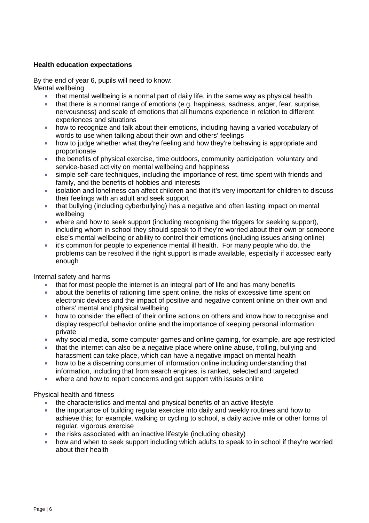# **Health education expectations**

By the end of year 6, pupils will need to know: Mental wellbeing

- that mental wellbeing is a normal part of daily life, in the same way as physical health
- that there is a normal range of emotions (e.g. happiness, sadness, anger, fear, surprise, nervousness) and scale of emotions that all humans experience in relation to different experiences and situations
- how to recognize and talk about their emotions, including having a varied vocabulary of words to use when talking about their own and others' feelings
- how to judge whether what they're feeling and how they're behaving is appropriate and proportionate
- the benefits of physical exercise, time outdoors, community participation, voluntary and service-based activity on mental wellbeing and happiness
- simple self-care techniques, including the importance of rest, time spent with friends and family, and the benefits of hobbies and interests
- isolation and loneliness can affect children and that it's very important for children to discuss their feelings with an adult and seek support
- that bullying (including cyberbullying) has a negative and often lasting impact on mental wellbeing
- where and how to seek support (including recognising the triggers for seeking support), including whom in school they should speak to if they're worried about their own or someone else's mental wellbeing or ability to control their emotions (including issues arising online)
- **it's common for people to experience mental ill health. For many people who do, the** problems can be resolved if the right support is made available, especially if accessed early enough

Internal safety and harms

- that for most people the internet is an integral part of life and has many benefits
- about the benefits of rationing time spent online, the risks of excessive time spent on electronic devices and the impact of positive and negative content online on their own and others' mental and physical wellbeing
- **how to consider the effect of their online actions on others and know how to recognise and** display respectful behavior online and the importance of keeping personal information private
- why social media, some computer games and online gaming, for example, are age restricted
- that the internet can also be a negative place where online abuse, trolling, bullying and harassment can take place, which can have a negative impact on mental health
- **how to be a discerning consumer of information online including understanding that** information, including that from search engines, is ranked, selected and targeted
- where and how to report concerns and get support with issues online

Physical health and fitness

- the characteristics and mental and physical benefits of an active lifestyle
- the importance of building regular exercise into daily and weekly routines and how to achieve this; for example, walking or cycling to school, a daily active mile or other forms of regular, vigorous exercise
- $\blacksquare$  the risks associated with an inactive lifestyle (including obesity)
- how and when to seek support including which adults to speak to in school if they're worried about their health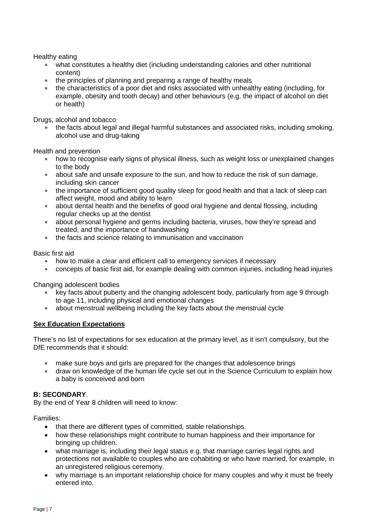Healthy eating

- what constitutes a healthy diet (including understanding calories and other nutritional content)
- the principles of planning and preparing a range of healthy meals
- the characteristics of a poor diet and risks associated with unhealthy eating (including, for example, obesity and tooth decay) and other behaviours (e.g. the impact of alcohol on diet or health)

Drugs, alcohol and tobacco

 the facts about legal and illegal harmful substances and associated risks, including smoking, alcohol use and drug-taking

Health and prevention

- **how to recognise early signs of physical illness, such as weight loss or unexplained changes** to the body
- about safe and unsafe exposure to the sun, and how to reduce the risk of sun damage, including skin cancer
- the importance of sufficient good quality sleep for good health and that a lack of sleep can affect weight, mood and ability to learn
- about dental health and the benefits of good oral hygiene and dental flossing, including regular checks up at the dentist
- about personal hygiene and germs including bacteria, viruses, how they're spread and treated, and the importance of handwashing
- the facts and science relating to immunisation and vaccination

Basic first aid

- **how to make a clear and efficient call to emergency services if necessary**
- concepts of basic first aid, for example dealing with common injuries, including head injuries

Changing adolescent bodies

- key facts about puberty and the changing adolescent body, particularly from age 9 through to age 11, including physical and emotional changes
- about menstrual wellbeing including the key facts about the menstrual cycle

### **Sex Education Expectations**

There's no list of expectations for sex education at the primary level, as it isn't compulsory, but the DfF recommends that it should:

- **nake sure boys and girls are prepared for the changes that adolescence brings**
- draw on knowledge of the human life cycle set out in the Science Curriculum to explain how a baby is conceived and born

### **B: SECONDARY**.

By the end of Year 8 children will need to know:

Families:

- that there are different types of committed, stable relationships.
- how these relationships might contribute to human happiness and their importance for bringing up children.
- what marriage is, including their legal status e.g. that marriage carries legal rights and protections not available to couples who are cohabiting or who have married, for example, in an unregistered religious ceremony.
- why marriage is an important relationship choice for many couples and why it must be freely entered into.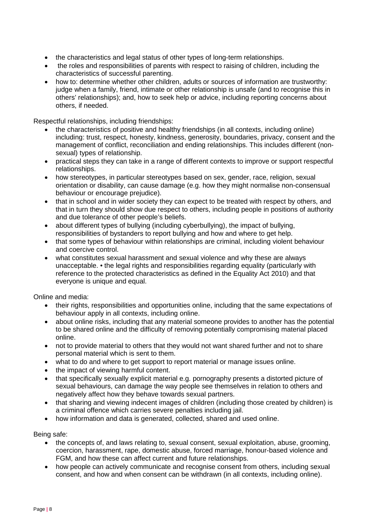- the characteristics and legal status of other types of long-term relationships.
- the roles and responsibilities of parents with respect to raising of children, including the characteristics of successful parenting.
- how to: determine whether other children, adults or sources of information are trustworthy: judge when a family, friend, intimate or other relationship is unsafe (and to recognise this in others' relationships); and, how to seek help or advice, including reporting concerns about others, if needed.

Respectful relationships, including friendships:

- the characteristics of positive and healthy friendships (in all contexts, including online) including: trust, respect, honesty, kindness, generosity, boundaries, privacy, consent and the management of conflict, reconciliation and ending relationships. This includes different (nonsexual) types of relationship.
- practical steps they can take in a range of different contexts to improve or support respectful relationships.
- how stereotypes, in particular stereotypes based on sex, gender, race, religion, sexual orientation or disability, can cause damage (e.g. how they might normalise non-consensual behaviour or encourage prejudice).
- that in school and in wider society they can expect to be treated with respect by others, and that in turn they should show due respect to others, including people in positions of authority and due tolerance of other people's beliefs.
- about different types of bullying (including cyberbullying), the impact of bullying, responsibilities of bystanders to report bullying and how and where to get help.
- that some types of behaviour within relationships are criminal, including violent behaviour and coercive control.
- what constitutes sexual harassment and sexual violence and why these are always unacceptable. • the legal rights and responsibilities regarding equality (particularly with reference to the protected characteristics as defined in the Equality Act 2010) and that everyone is unique and equal.

Online and media:

- their rights, responsibilities and opportunities online, including that the same expectations of behaviour apply in all contexts, including online.
- about online risks, including that any material someone provides to another has the potential to be shared online and the difficulty of removing potentially compromising material placed online.
- not to provide material to others that they would not want shared further and not to share personal material which is sent to them.
- what to do and where to get support to report material or manage issues online.
- the impact of viewing harmful content.
- that specifically sexually explicit material e.g. pornography presents a distorted picture of sexual behaviours, can damage the way people see themselves in relation to others and negatively affect how they behave towards sexual partners.
- that sharing and viewing indecent images of children (including those created by children) is a criminal offence which carries severe penalties including jail.
- how information and data is generated, collected, shared and used online.

Being safe:

- the concepts of, and laws relating to, sexual consent, sexual exploitation, abuse, grooming, coercion, harassment, rape, domestic abuse, forced marriage, honour-based violence and FGM, and how these can affect current and future relationships.
- how people can actively communicate and recognise consent from others, including sexual consent, and how and when consent can be withdrawn (in all contexts, including online).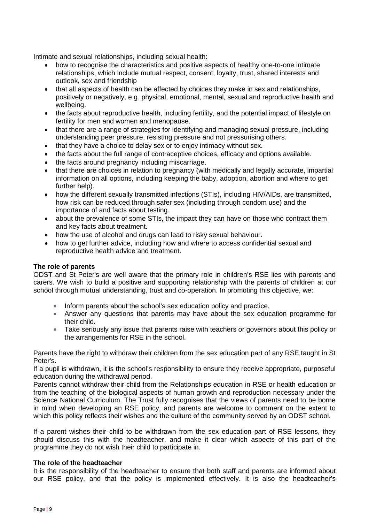Intimate and sexual relationships, including sexual health:

- how to recognise the characteristics and positive aspects of healthy one-to-one intimate relationships, which include mutual respect, consent, loyalty, trust, shared interests and outlook, sex and friendship
- that all aspects of health can be affected by choices they make in sex and relationships, positively or negatively, e.g. physical, emotional, mental, sexual and reproductive health and wellbeing.
- the facts about reproductive health, including fertility, and the potential impact of lifestyle on fertility for men and women and menopause.
- that there are a range of strategies for identifying and managing sexual pressure, including understanding peer pressure, resisting pressure and not pressurising others.
- that they have a choice to delay sex or to enjoy intimacy without sex.
- the facts about the full range of contraceptive choices, efficacy and options available.
- the facts around pregnancy including miscarriage.
- that there are choices in relation to pregnancy (with medically and legally accurate, impartial information on all options, including keeping the baby, adoption, abortion and where to get further help).
- how the different sexually transmitted infections (STIs), including HIV/AIDs, are transmitted, how risk can be reduced through safer sex (including through condom use) and the importance of and facts about testing.
- about the prevalence of some STIs, the impact they can have on those who contract them and key facts about treatment.
- how the use of alcohol and drugs can lead to risky sexual behaviour.
- how to get further advice, including how and where to access confidential sexual and reproductive health advice and treatment.

### **The role of parents**

ODST and St Peter's are well aware that the primary role in children's RSE lies with parents and carers. We wish to build a positive and supporting relationship with the parents of children at our school through mutual understanding, trust and co-operation. In promoting this objective, we:

- Inform parents about the school's sex education policy and practice.
- Answer any questions that parents may have about the sex education programme for their child.
- Take seriously any issue that parents raise with teachers or governors about this policy or the arrangements for RSE in the school.

Parents have the right to withdraw their children from the sex education part of any RSE taught in St Peter's.

If a pupil is withdrawn, it is the school's responsibility to ensure they receive appropriate, purposeful education during the withdrawal period.

Parents cannot withdraw their child from the Relationships education in RSE or health education or from the teaching of the biological aspects of human growth and reproduction necessary under the Science National Curriculum. The Trust fully recognises that the views of parents need to be borne in mind when developing an RSE policy, and parents are welcome to comment on the extent to which this policy reflects their wishes and the culture of the community served by an ODST school.

If a parent wishes their child to be withdrawn from the sex education part of RSE lessons, they should discuss this with the headteacher, and make it clear which aspects of this part of the programme they do not wish their child to participate in.

### **The role of the headteacher**

It is the responsibility of the headteacher to ensure that both staff and parents are informed about our RSE policy, and that the policy is implemented effectively. It is also the headteacher's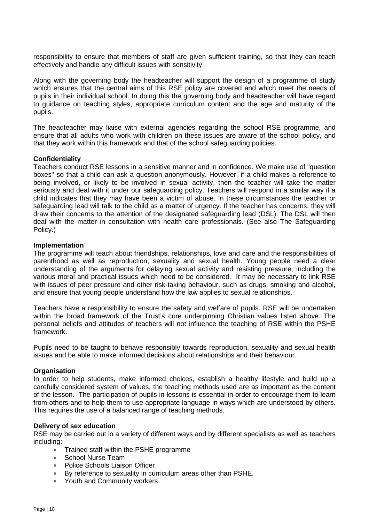responsibility to ensure that members of staff are given sufficient training, so that they can teach effectively and handle any difficult issues with sensitivity.

Along with the governing body the headteacher will support the design of a programme of study which ensures that the central aims of this RSE policy are covered and which meet the needs of pupils in their individual school. In doing this the governing body and headteacher will have regard to guidance on teaching styles, appropriate curriculum content and the age and maturity of the pupils.

The headteacher may liaise with external agencies regarding the school RSE programme, and ensure that all adults who work with children on these issues are aware of the school policy, and that they work within this framework and that of the school safeguarding policies.

### **Confidentiality**

Teachers conduct RSE lessons in a sensitive manner and in confidence. We make use of "question boxes" so that a child can ask a question anonymously. However, if a child makes a reference to being involved, or likely to be involved in sexual activity, then the teacher will take the matter seriously and deal with it under our safeguarding policy. Teachers will respond in a similar way if a child indicates that they may have been a victim of abuse. In these circumstances the teacher or safeguarding lead will talk to the child as a matter of urgency. If the teacher has concerns, they will draw their concerns to the attention of the designated safeguarding lead (DSL). The DSL will then deal with the matter in consultation with health care professionals. (See also The Safeguarding Policy.)

### **Implementation**

The programme will teach about friendships, relationships, love and care and the responsibilities of parenthood as well as reproduction, sexuality and sexual health. Young people need a clear understanding of the arguments for delaying sexual activity and resisting pressure, including the various moral and practical issues which need to be considered. It may be necessary to link RSE with issues of peer pressure and other risk-taking behaviour, such as drugs, smoking and alcohol, and ensure that young people understand how the law applies to sexual relationships.

Teachers have a responsibility to ensure the safety and welfare of pupils. RSE will be undertaken within the broad framework of the Trust's core underpinning Christian values listed above. The personal beliefs and attitudes of teachers will not influence the teaching of RSE within the PSHE framework.

Pupils need to be taught to behave responsibly towards reproduction, sexuality and sexual health issues and be able to make informed decisions about relationships and their behaviour.

### **Organisation**

In order to help students, make informed choices, establish a healthy lifestyle and build up a carefully considered system of values, the teaching methods used are as important as the content of the lesson. The participation of pupils in lessons is essential in order to encourage them to learn from others and to help them to use appropriate language in ways which are understood by others. This requires the use of a balanced range of teaching methods.

### **Delivery of sex education**

RSE may be carried out in a variety of different ways and by different specialists as well as teachers including:

- Trained staff within the PSHE programme
- School Nurse Team
- **Police Schools Liaison Officer**
- By reference to sexuality in curriculum areas other than PSHE.
- **EXECUTE:** Youth and Community workers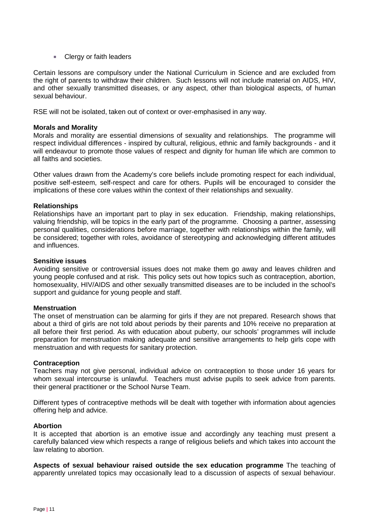■ Clergy or faith leaders

Certain lessons are compulsory under the National Curriculum in Science and are excluded from the right of parents to withdraw their children. Such lessons will not include material on AIDS, HIV, and other sexually transmitted diseases, or any aspect, other than biological aspects, of human sexual behaviour.

RSE will not be isolated, taken out of context or over-emphasised in any way.

### **Morals and Morality**

Morals and morality are essential dimensions of sexuality and relationships. The programme will respect individual differences - inspired by cultural, religious, ethnic and family backgrounds - and it will endeavour to promote those values of respect and dignity for human life which are common to all faiths and societies.

Other values drawn from the Academy's core beliefs include promoting respect for each individual, positive self-esteem, self-respect and care for others. Pupils will be encouraged to consider the implications of these core values within the context of their relationships and sexuality.

### **Relationships**

Relationships have an important part to play in sex education. Friendship, making relationships, valuing friendship, will be topics in the early part of the programme. Choosing a partner, assessing personal qualities, considerations before marriage, together with relationships within the family, will be considered; together with roles, avoidance of stereotyping and acknowledging different attitudes and influences.

#### **Sensitive issues**

Avoiding sensitive or controversial issues does not make them go away and leaves children and young people confused and at risk. This policy sets out how topics such as contraception, abortion, homosexuality, HIV/AIDS and other sexually transmitted diseases are to be included in the school's support and guidance for young people and staff.

### **Menstruation**

The onset of menstruation can be alarming for girls if they are not prepared. Research shows that about a third of girls are not told about periods by their parents and 10% receive no preparation at all before their first period. As with education about puberty, our schools' programmes will include preparation for menstruation making adequate and sensitive arrangements to help girls cope with menstruation and with requests for sanitary protection.

### **Contraception**

Teachers may not give personal, individual advice on contraception to those under 16 years for whom sexual intercourse is unlawful. Teachers must advise pupils to seek advice from parents. their general practitioner or the School Nurse Team.

Different types of contraceptive methods will be dealt with together with information about agencies offering help and advice.

### **Abortion**

It is accepted that abortion is an emotive issue and accordingly any teaching must present a carefully balanced view which respects a range of religious beliefs and which takes into account the law relating to abortion.

**Aspects of sexual behaviour raised outside the sex education programme** The teaching of apparently unrelated topics may occasionally lead to a discussion of aspects of sexual behaviour.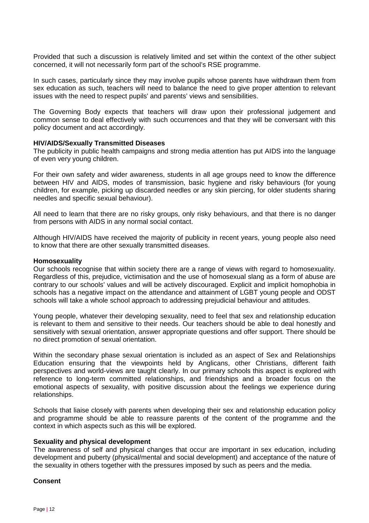Provided that such a discussion is relatively limited and set within the context of the other subject concerned, it will not necessarily form part of the school's RSE programme.

In such cases, particularly since they may involve pupils whose parents have withdrawn them from sex education as such, teachers will need to balance the need to give proper attention to relevant issues with the need to respect pupils' and parents' views and sensibilities.

The Governing Body expects that teachers will draw upon their professional judgement and common sense to deal effectively with such occurrences and that they will be conversant with this policy document and act accordingly.

### **HIV/AIDS/Sexually Transmitted Diseases**

The publicity in public health campaigns and strong media attention has put AIDS into the language of even very young children.

For their own safety and wider awareness, students in all age groups need to know the difference between HIV and AIDS, modes of transmission, basic hygiene and risky behaviours (for young children, for example, picking up discarded needles or any skin piercing, for older students sharing needles and specific sexual behaviour).

All need to learn that there are no risky groups, only risky behaviours, and that there is no danger from persons with AIDS in any normal social contact.

Although HIV/AIDS have received the majority of publicity in recent years, young people also need to know that there are other sexually transmitted diseases.

#### **Homosexuality**

Our schools recognise that within society there are a range of views with regard to homosexuality. Regardless of this, prejudice, victimisation and the use of homosexual slang as a form of abuse are contrary to our schools' values and will be actively discouraged. Explicit and implicit homophobia in schools has a negative impact on the attendance and attainment of LGBT young people and ODST schools will take a whole school approach to addressing prejudicial behaviour and attitudes.

Young people, whatever their developing sexuality, need to feel that sex and relationship education is relevant to them and sensitive to their needs. Our teachers should be able to deal honestly and sensitively with sexual orientation, answer appropriate questions and offer support. There should be no direct promotion of sexual orientation.

Within the secondary phase sexual orientation is included as an aspect of Sex and Relationships Education ensuring that the viewpoints held by Anglicans, other Christians, different faith perspectives and world-views are taught clearly. In our primary schools this aspect is explored with reference to long-term committed relationships, and friendships and a broader focus on the emotional aspects of sexuality, with positive discussion about the feelings we experience during relationships.

Schools that liaise closely with parents when developing their sex and relationship education policy and programme should be able to reassure parents of the content of the programme and the context in which aspects such as this will be explored.

#### **Sexuality and physical development**

The awareness of self and physical changes that occur are important in sex education, including development and puberty (physical/mental and social development) and acceptance of the nature of the sexuality in others together with the pressures imposed by such as peers and the media.

#### **Consent**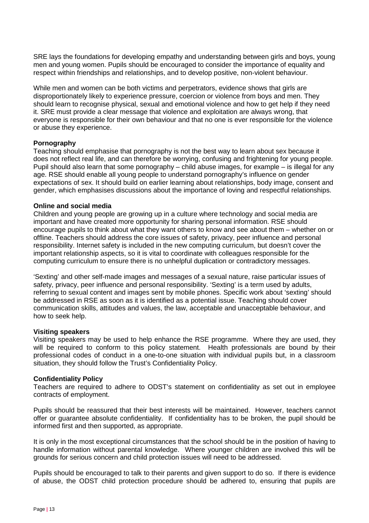SRE lays the foundations for developing empathy and understanding between girls and boys, young men and young women. Pupils should be encouraged to consider the importance of equality and respect within friendships and relationships, and to develop positive, non-violent behaviour.

While men and women can be both victims and perpetrators, evidence shows that girls are disproportionately likely to experience pressure, coercion or violence from boys and men. They should learn to recognise physical, sexual and emotional violence and how to get help if they need it. SRE must provide a clear message that violence and exploitation are always wrong, that everyone is responsible for their own behaviour and that no one is ever responsible for the violence or abuse they experience.

### **Pornography**

Teaching should emphasise that pornography is not the best way to learn about sex because it does not reflect real life, and can therefore be worrying, confusing and frightening for young people. Pupil should also learn that some pornography – child abuse images, for example – is illegal for any age. RSE should enable all young people to understand pornography's influence on gender expectations of sex. It should build on earlier learning about relationships, body image, consent and gender, which emphasises discussions about the importance of loving and respectful relationships.

### **Online and social media**

Children and young people are growing up in a culture where technology and social media are important and have created more opportunity for sharing personal information. RSE should encourage pupils to think about what they want others to know and see about them – whether on or offline. Teachers should address the core issues of safety, privacy, peer influence and personal responsibility. Internet safety is included in the new computing curriculum, but doesn't cover the important relationship aspects, so it is vital to coordinate with colleagues responsible for the computing curriculum to ensure there is no unhelpful duplication or contradictory messages.

'Sexting' and other self-made images and messages of a sexual nature, raise particular issues of safety, privacy, peer influence and personal responsibility. 'Sexting' is a term used by adults, referring to sexual content and images sent by mobile phones. Specific work about 'sexting' should be addressed in RSE as soon as it is identified as a potential issue. Teaching should cover communication skills, attitudes and values, the law, acceptable and unacceptable behaviour, and how to seek help.

### **Visiting speakers**

Visiting speakers may be used to help enhance the RSE programme. Where they are used, they will be required to conform to this policy statement. Health professionals are bound by their professional codes of conduct in a one-to-one situation with individual pupils but, in a classroom situation, they should follow the Trust's Confidentiality Policy.

### **Confidentiality Policy**

Teachers are required to adhere to ODST's statement on confidentiality as set out in employee contracts of employment.

Pupils should be reassured that their best interests will be maintained. However, teachers cannot offer or guarantee absolute confidentiality. If confidentiality has to be broken, the pupil should be informed first and then supported, as appropriate.

It is only in the most exceptional circumstances that the school should be in the position of having to handle information without parental knowledge. Where younger children are involved this will be grounds for serious concern and child protection issues will need to be addressed.

Pupils should be encouraged to talk to their parents and given support to do so. If there is evidence of abuse, the ODST child protection procedure should be adhered to, ensuring that pupils are